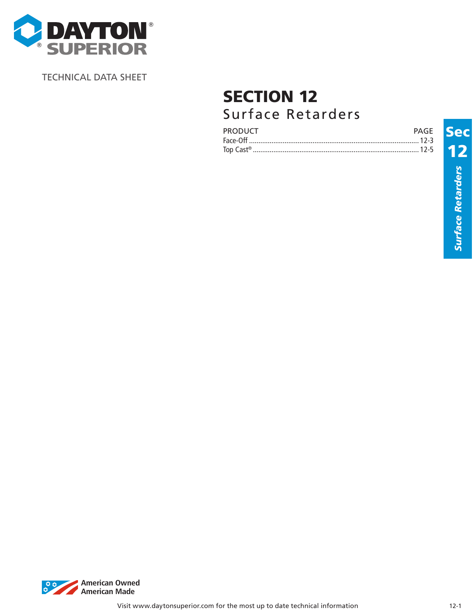

TECHNICAL DATA SHEET

# SECTION 12 Surface Retarders

| <b>PRODUCT</b><br>P∆GF |  |
|------------------------|--|
|                        |  |
| Top Cast <sup>®</sup>  |  |

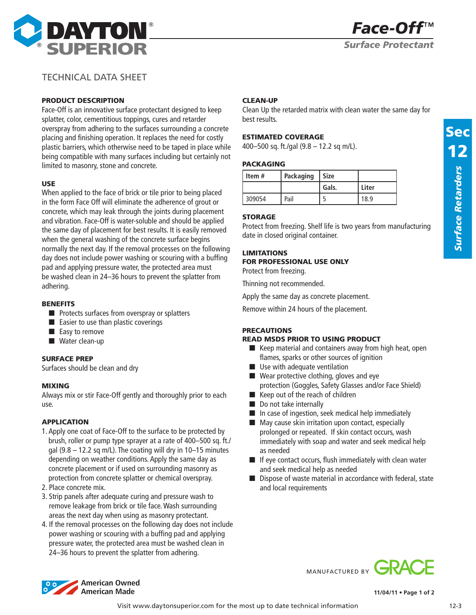

# TECHNICAL DATA SHEET

## PRODUCT DESCRIPTION

Face-Off is an innovative surface protectant designed to keep splatter, color, cementitious toppings, cures and retarder overspray from adhering to the surfaces surrounding a concrete placing and finishing operation. It replaces the need for costly plastic barriers, which otherwise need to be taped in place while being compatible with many surfaces including but certainly not limited to masonry, stone and concrete.

## USE

When applied to the face of brick or tile prior to being placed in the form Face Off will eliminate the adherence of grout or concrete, which may leak through the joints during placement and vibration. Face-Off is water-soluble and should be applied the same day of placement for best results. It is easily removed when the general washing of the concrete surface begins normally the next day. If the removal processes on the following day does not include power washing or scouring with a buffing pad and applying pressure water, the protected area must be washed clean in 24–36 hours to prevent the splatter from adhering.

## **BENEFITS**

- Protects surfaces from overspray or splatters
- Easier to use than plastic coverings
- Easy to remove
- Water clean-up

## Surface prep

Surfaces should be clean and dry

### Mixing

Always mix or stir Face-Off gently and thoroughly prior to each use.

## APPLICATION

- 1. Apply one coat of Face-Off to the surface to be protected by brush, roller or pump type sprayer at a rate of 400–500 sq. ft./ gal  $(9.8 - 12.2$  sq m/L). The coating will dry in  $10-15$  minutes depending on weather conditions. Apply the same day as concrete placement or if used on surrounding masonry as protection from concrete splatter or chemical overspray.
- 2. Place concrete mix.
- 3. Strip panels after adequate curing and pressure wash to remove leakage from brick or tile face. Wash surrounding areas the next day when using as masonry protectant.
- 4. If the removal processes on the following day does not include power washing or scouring with a buffing pad and applying pressure water, the protected area must be washed clean in 24–36 hours to prevent the splatter from adhering.

## Clean-up

Clean Up the retarded matrix with clean water the same day for best results.

## ESTIMATED COVERAGE

400–500 sq. ft./gal (9.8 – 12.2 sq m/L).

### PACKAGING

| Item#  | Packaging | <b>Size</b> |       |
|--------|-----------|-------------|-------|
|        |           | Gals.       | Liter |
| 309054 | Pail      |             | 18.9  |

## STORAGE

Protect from freezing. Shelf life is two years from manufacturing date in closed original container.

## LIMITATIONS

## FOR PROFESSIONAL USE ONLY

Protect from freezing.

Thinning not recommended.

Apply the same day as concrete placement.

Remove within 24 hours of the placement.

## **PRECAUTIONS**

# READ MSDS PRIOR TO USING PRODUCT

- Keep material and containers away from high heat, open flames, sparks or other sources of ignition
- Use with adequate ventilation
- Wear protective clothing, gloves and eye protection (Goggles, Safety Glasses and/or Face Shield)
- Keep out of the reach of children
- Do not take internally
- In case of ingestion, seek medical help immediately
- May cause skin irritation upon contact, especially prolonged or repeated. If skin contact occurs, wash immediately with soap and water and seek medical help as needed
- If eye contact occurs, flush immediately with clean water and seek medical help as needed
- Dispose of waste material in accordance with federal, state and local requirements

# MANUFACTURED BY **GRA**



**11/04/11 • Page 1 of 2**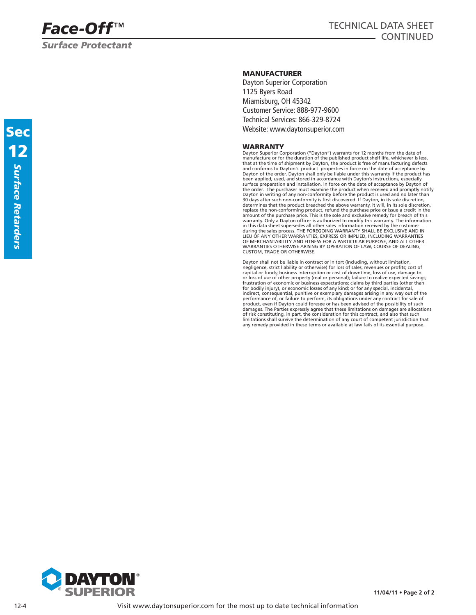*Surface Protectant*

## MANUFACTURER

Dayton Superior Corporation 1125 Byers Road Miamisburg, OH 45342 Customer Service: 888-977-9600 Technical Services: 866-329-8724 Website: www.daytonsuperior.com

### WARRANTY

Dayton Superior Corporation ("Dayton") warrants for 12 months from the date of manufacture or for the duration of the published product shelf life, whichever is less,<br>that at the time of shipment by Dayton, the product is free of manufacturing defects<br>and conforms to Dayton's product properties in fo Dayton of the order. Dayton shall only be liable under this warranty if the product has been applied, used, and stored in accordance with Dayton's instructions, especially surface preparation and installation, in force on the date of acceptance by Dayton of the order. The purchaser must examine the product when received and promptly notify Dayton in writing of any non-conformity before the product is used and no later than 30 days after such non-conformity is first discovered. If Dayton, in its sole discretion,<br>determines that the product breached the above warranty, it will, in its sole discretion, replace the non-conforming product, refund the purchase price or issue a credit in the amount of the purchase price. This is the sole and exclusive remedy for breach of this warranty. Only a Dayton officer is authorized to modify this warranty. The information in this data sheet supersedes all other sales information received by the customer during the sales process. THE FOREGOING WARRANTY SHALL BE EXCLUSIVE AND IN LIEU OF ANY OTHER WARRANTIES, EXPRESS OR IMPLIED, INCLUDING WARRANTIES OF MERCHANTABILITY AND FITNESS FOR A PARTICULAR PURPOSE, AND ALL OTHER WARRANTIES OTHERWISE ARISING BY OPERATION OF LAW, COURSE OF DEALING, CUSTOM, TRADE OR OTHERWISE.

Dayton shall not be liable in contract or in tort (including, without limitation, negligence, strict liability or otherwise) for loss of sales, revenues or profits; cost of capital or funds; business interruption or cost of downtime, loss of use, damage to or loss of use of other property (real or personal); failure to realize expected savings; frustration of economic or business expectations; claims by third parties (other than for bodily injury), or economic losses of any kind; or for any special, incidental, indirect, consequential, punitive or exemplary damages arising in any way out of the performance of, or failure to perform, its obligations under any contract for sale of<br>product, even if Dayton could foresee or has been advised of the possibility of such<br>damages. The Parties expressly agree that these lim of risk constituting, in part, the consideration for this contract, and also that such<br>limitations shall survive the determination of any court of competent jurisdiction that<br>any remedy provided in these terms or available



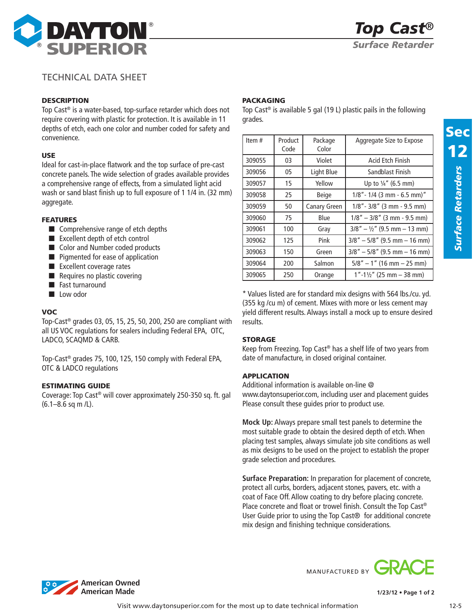

# TECHNICAL DATA SHEET

## **DESCRIPTION**

Top Cast® is a water-based, top-surface retarder which does not require covering with plastic for protection. It is available in 11 depths of etch, each one color and number coded for safety and convenience.

## USE

Ideal for cast-in-place flatwork and the top surface of pre-cast concrete panels. The wide selection of grades available provides a comprehensive range of effects, from a simulated light acid wash or sand blast finish up to full exposure of 1 1/4 in. (32 mm) aggregate.

## FEATURES

- Comprehensive range of etch depths
- Excellent depth of etch control
- Color and Number coded products
- Pigmented for ease of application
- Excellent coverage rates
- Requires no plastic covering
- Fast turnaround
- Low odor

## VOC

Top-Cast® grades 03, 05, 15, 25, 50, 200, 250 are compliant with all US VOC regulations for sealers including Federal EPA, OTC, LADCO, SCAQMD & CARB.

Top-Cast® grades 75, 100, 125, 150 comply with Federal EPA, OTC & LADCO regulations

## ESTIMATING GUIDE

Coverage: Top Cast® will cover approximately 250-350 sq. ft. gal (6.1–8.6 sq m /L).

## PACKAGING

Top Cast® is available 5 gal (19 L) plastic pails in the following grades.

| Item#  | Product<br>Code | Package<br>Color | Aggregate Size to Expose               |
|--------|-----------------|------------------|----------------------------------------|
| 309055 | 03              | Violet           | Acid Etch Finish                       |
| 309056 | 05              | Light Blue       | Sandblast Finish                       |
| 309057 | 15              | Yellow           | Up to $\frac{1}{4}$ " (6.5 mm)         |
| 309058 | 25              | Beige            | $1/8"$ - $1/4$ (3 mm - 6.5 mm)"        |
| 309059 | 50              | Canary Green     | $1/8"$ - $3/8"$ (3 mm - 9.5 mm)        |
| 309060 | 75              | Blue             | $1/8" - 3/8"$ (3 mm - 9.5 mm)          |
| 309061 | 100             | Gray             | $3/8" - \frac{1}{2}"$ (9.5 mm – 13 mm) |
| 309062 | 125             | Pink             | $3/8" - 5/8"$ (9.5 mm - 16 mm)         |
| 309063 | 150             | Green            | $3/8" - 5/8"$ (9.5 mm $-16$ mm)        |
| 309064 | 200             | Salmon           | $5/8" - 1"$ (16 mm $- 25$ mm)          |
| 309065 | 250             | Orange           | $1" - 1'/2"$ (25 mm $-$ 38 mm)         |

\* Values listed are for standard mix designs with 564 lbs./cu. yd. (355 kg /cu m) of cement. Mixes with more or less cement may yield different results. Always install a mock up to ensure desired results.

## **STORAGE**

Keep from Freezing. Top Cast® has a shelf life of two years from date of manufacture, in closed original container.

## APPLICATION

Additional information is available on-line @ www.daytonsuperior.com, including user and placement guides Please consult these guides prior to product use.

**Mock Up:** Always prepare small test panels to determine the most suitable grade to obtain the desired depth of etch. When placing test samples, always simulate job site conditions as well as mix designs to be used on the project to establish the proper grade selection and procedures.

**Surface Preparation:** In preparation for placement of concrete, protect all curbs, borders, adjacent stones, pavers, etc. with a coat of Face Off. Allow coating to dry before placing concrete. Place concrete and float or trowel finish. Consult the Top Cast® User Guide prior to using the Top Cast<sup>®</sup> for additional concrete mix design and finishing technique considerations.



MANUFACTURED BY